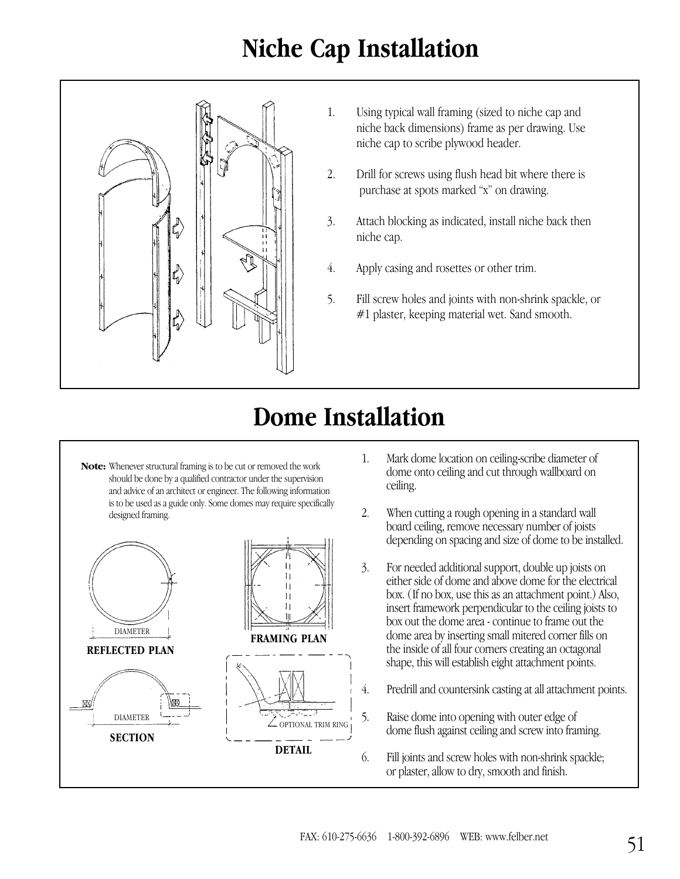## **Niche Cap Installation**



- 1. Using typical wall framing (sized to niche cap and niche back dimensions) frame as per drawing. Use niche cap to scribe plywood header.
- 2. Drill for screws using flush head bit where there is purchase at spots marked "x" on drawing.
- 3. Attach blocking as indicated, install niche back then niche cap.
- 4. Apply casing and rosettes or other trim.
- 5. Fill screw holes and joints with non-shrink spackle, or #1 plaster, keeping material wet. Sand smooth.

## **Dome Installation**

**Note:** Whenever structural framing is to be cut or removed the work should be done by a qualified contractor under the supervision and advice of an architect or engineer. The following information is to be used as a guide only. Some domes may require specifically designed framing.



- 1. Mark dome location on ceiling-scribe diameter of dome onto ceiling and cut through wallboard on ceiling.
- 2. When cutting a rough opening in a standard wall board ceiling, remove necessary number of joists depending on spacing and size of dome to be installed.
- 3. For needed additional support, double up joists on either side of dome and above dome for the electrical box. (If no box, use this as an attachment point.) Also, insert framework perpendicular to the ceiling joists to box out the dome area - continue to frame out the dome area by inserting small mitered corner fills on the inside of all four corners creating an octagonal shape, this will establish eight attachment points.
- 4. Predrill and countersink casting at all attachment points.
- 5. Raise dome into opening with outer edge of dome flush against ceiling and screw into framing.
- 6. Fill joints and screw holes with non-shrink spackle; or plaster, allow to dry, smooth and finish.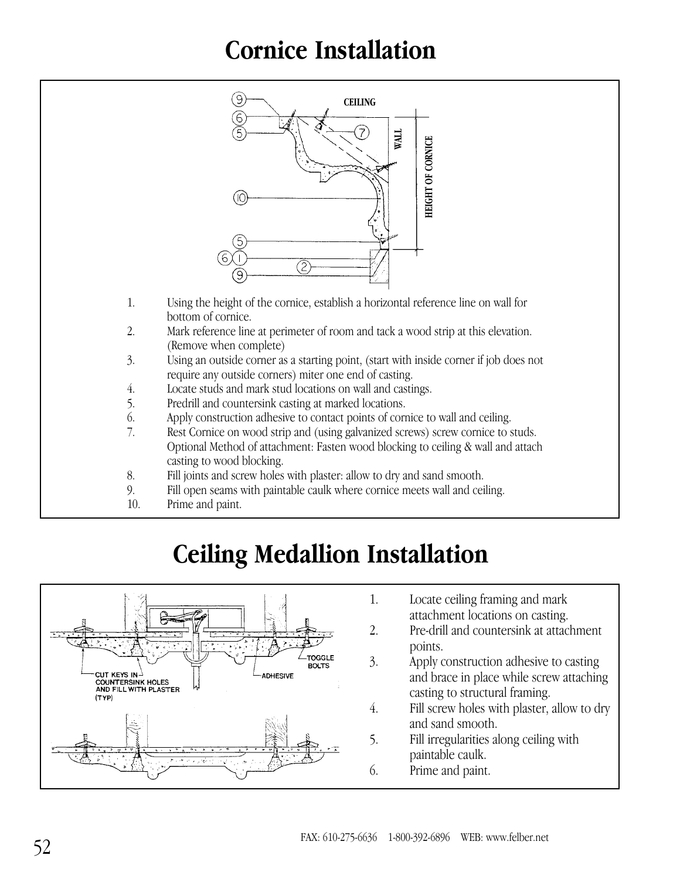### **Cornice Installation**



- 1. Using the height of the cornice, establish a horizontal reference line on wall for bottom of cornice.
- 2. Mark reference line at perimeter of room and tack a wood strip at this elevation. (Remove when complete)
- 3. Using an outside corner as a starting point, (start with inside corner if job does not require any outside corners) miter one end of casting.
- 4. Locate studs and mark stud locations on wall and castings.
- 5. Predrill and countersink casting at marked locations.
- 6. Apply construction adhesive to contact points of cornice to wall and ceiling.
- 7. Rest Cornice on wood strip and (using galvanized screws) screw cornice to studs. Optional Method of attachment: Fasten wood blocking to ceiling & wall and attach casting to wood blocking.
- 8. Fill joints and screw holes with plaster: allow to dry and sand smooth.
- 9. Fill open seams with paintable caulk where cornice meets wall and ceiling.
- 10. Prime and paint.

## **Ceiling Medallion Installation**



- 1. Locate ceiling framing and mark attachment locations on casting.
- 2. Pre-drill and countersink at attachment points.
- 3. Apply construction adhesive to casting and brace in place while screw attaching casting to structural framing.
- 4. Fill screw holes with plaster, allow to dry and sand smooth.
- 5. Fill irregularities along ceiling with paintable caulk.
- 6. Prime and paint.